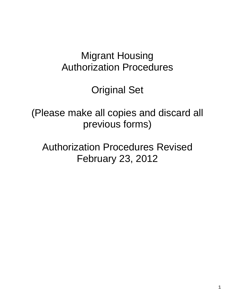# Migrant Housing Authorization Procedures

Original Set

(Please make all copies and discard all previous forms)

Authorization Procedures Revised February 23, 2012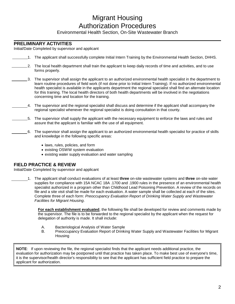## Migrant Housing Authorization Procedures

Environmental Health Section, On-Site Wastewater Branch

#### **PRELIMINARY ACTIVITIES**

Initial/Date Completed by supervisor and applicant

- 1. The applicant shall successfully complete Initial Intern Training by the Environmental Health Section, DHHS.
- 2. The local health department shall train the applicant to keep daily records of time and activities, and to use forms properly.
- 3. The supervisor shall assign the applicant to an authorized environmental health specialist in the department to learn routine procedures of field work (if not done prior to Initial Intern Training). If no authorized environmental health specialist is available in the applicants department the regional specialist shall find an alternate location for this training. The local health directors of both health departments will be involved in the negotiations concerning time and location for the training.
- 4. The supervisor and the regional specialist shall discuss and determine if the applicant shall accompany the regional specialist whenever the regional specialist is doing consultation in that county.
- 5. The supervisor shall supply the applicant with the necessary equipment to enforce the laws and rules and assure that the applicant is familiar with the use of all equipment.
	- 6. The supervisor shall assign the applicant to an authorized environmental health specialist for practice of skills and knowledge in the following specific areas:
		- laws, rules, policies, and form
		- existing OSWW system evaluation
		- existing water supply evaluation and water sampling

#### **FIELD PRACTICE & REVIEW**

Initial/Date Completed by supervisor and applicant

1. The applicant shall conduct evaluations of at least **three** on-site wastewater systems and **three** on-site water supplies for compliance with 15A NCAC 18A .1700 and .1900 rules in the presence of an environmental health specialist authorized in a program other than Childhood Lead Poisoning Prevention. A review of the records on file and a site visit shall be made for each evaluation. A water sample shall be collected at each of the sites. Complete three of each form: *Preoccupancy Evaluation Report of Drinking Water Supply and Wastewater Facilities for Migrant Housing*.

**For each establishment evaluated**, the following file shall be developed for review and comments made by the supervisor. The file is to be forwarded to the regional specialist by the applicant when the request for delegation of authority is made. It shall include:

- A. Bacteriological Analysis of Water Sample
- B. Preoccupancy Evaluation Report of Drinking Water Supply and Wastewater Facilities for Migrant **Housing**

**NOTE**: If upon reviewing the file, the regional specialist finds that the applicant needs additional practice, the evaluation for authorization may be postponed until that practice has taken place. To make best use of everyone's time, it is the supervisor/health director's responsibility to see that the applicant has sufficient field practice to prepare the applicant for authorization.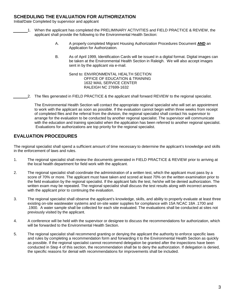#### **SCHEDULING THE EVALUATION FOR AUTHORIZATION**

Initial/Date Completed by supervisor and applicant

- 1. When the applicant has completed the PRELIMINARY ACTIVITIES and FIELD PRACTICE & REVIEW, the applicant shall provide the following to the Environmental Health Section:
	- A. A properly completed Migrant Housing Authorization Procedures Document **AND** an Application for Authorization.
	- B. As of April 1999, Identification Cards will be issued in a digital format. Digital images can be taken at the Environmental Health Section in Raleigh. We will also accept images sent in by the applicant via e-mail.

Send to: ENVIRONMENTAL HEALTH SECTION OFFICE OF EDUCATION & TRAINING 1632 MAIL SERVICE CENTER RALEIGH NC 27699-1632

2. The files generated in FIELD PRACTICE & the applicant shall forward REVIEW to the regional specialist.

The Environmental Health Section will contact the appropriate regional specialist who will set an appointment to work with the applicant as soon as possible. If the evaluation cannot begin within three weeks from receipt of completed files and the referral from the division, the regional specialist shall contact his supervisor to arrange for the evaluation to be conducted by another regional specialist. The supervisor will communicate with the education and training specialist when the application has been referred to another regional specialist. Evaluations for authorizations are top priority for the regional specialist.

#### **EVALUATION PROCEDURES**

The regional specialist shall spend a sufficient amount of time necessary to determine the applicant's knowledge and skills in the enforcement of laws and rules.

- 1. The regional specialist shall review the documents generated in FIELD PRACTICE & REVIEW prior to arriving at the local health department for field work with the applicant.
- 2. The regional specialist shall coordinate the administration of a written test, which the applicant must pass by a score of 70% or more. The applicant must have taken and scored at least 70% on the written examination prior to the field evaluation by the regional specialist. If the applicant fails the test, he/she will be denied authorization. The written exam may be repeated. The regional specialist shall discuss the test results along with incorrect answers with the applicant prior to continuing the evaluation.
- 3. The regional specialist shall observe the applicant's knowledge, skills, and ability to properly evaluate at least three existing on-site wastewater systems and on-site water supplies for compliance with 15A NCAC 18A .1700 and .1900. A water sample shall be collected for each site evaluated. The evaluations shall be conducted at sites not previously visited by the applicant.
- 4. A conference will be held with the supervisor or designee to discuss the recommendations for authorization, which will be forwarded to the Environmental Health Section.
- 5. The regional specialist shall recommend granting or denying the applicant the authority to enforce specific laws and rules by completing a recommendation form and forwarding it to the Environmental Health Section as quickly as possible. If the regional specialist cannot recommend delegation be granted after the inspections have been conducted in Step 4 of this section, the recommendation shall be to deny the authorization. If delegation is denied, the specific reasons for denial with recommendations for improvements shall be included.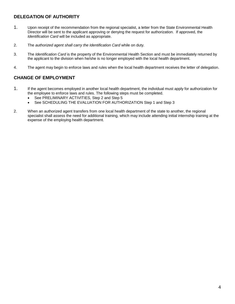### **DELEGATION OF AUTHORITY**

- 1. Upon receipt of the recommendation from the regional specialist, a letter from the State Environmental Health Director will be sent to the applicant approving or denying the request for authorization. If approved, the *Identification Card* will be included as appropriate.
- 2. The *authorized agent shall carry the Identification Card* while on duty.
- 3. The *Identification Card* is the property of the Environmental Health Section and must be immediately returned by the applicant to the division when he/she is no longer employed with the local health department.
- 4. The agent may begin to enforce laws and rules when the local health department receives the letter of delegation.

#### **CHANGE OF EMPLOYMENT**

- 1. If the agent becomes employed in another local health department, the individual must apply for authorization for the employee to enforce laws and rules. The following steps must be completed.
	- See PRELIMINARY ACTIVITIES, Step 2 and Step 5
	- See SCHEDULING THE EVALUATION FOR AUTHORIZATION Step 1 and Step 3
- 2. When an authorized agent transfers from one local health department of the state to another, the regional specialist shall assess the need for additional training, which may include attending initial internship training at the expense of the employing health department.